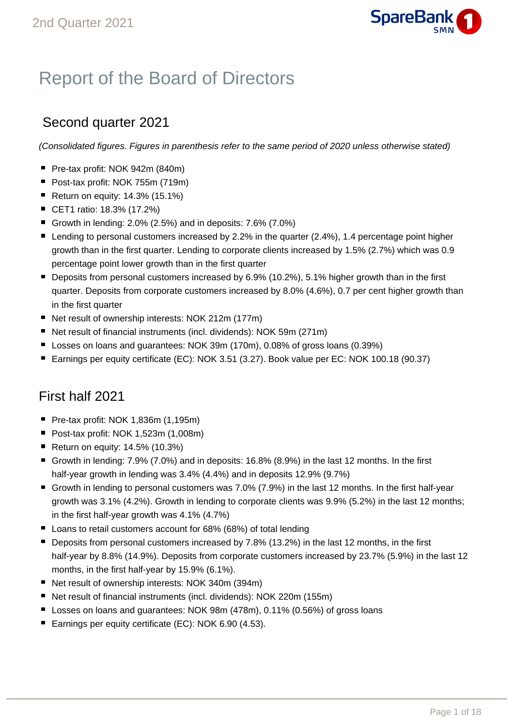

# Report of the Board of Directors

# Second quarter 2021

(Consolidated figures. Figures in parenthesis refer to the same period of 2020 unless otherwise stated)

- Pre-tax profit: NOK 942m (840m)
- Post-tax profit: NOK 755m (719m)
- Return on equity:  $14.3\%$  (15.1%)
- CET1 ratio: 18.3% (17.2%)
- Growth in lending:  $2.0\%$  (2.5%) and in deposits:  $7.6\%$  (7.0%)
- Lending to personal customers increased by 2.2% in the quarter (2.4%), 1.4 percentage point higher growth than in the first quarter. Lending to corporate clients increased by 1.5% (2.7%) which was 0.9 percentage point lower growth than in the first quarter
- Deposits from personal customers increased by 6.9% (10.2%), 5.1% higher growth than in the first quarter. Deposits from corporate customers increased by 8.0% (4.6%), 0.7 per cent higher growth than in the first quarter
- Net result of ownership interests: NOK 212m (177m)
- Net result of financial instruments (incl. dividends): NOK 59m (271m)
- Losses on loans and quarantees: NOK 39m (170m), 0.08% of gross loans (0.39%)
- Earnings per equity certificate (EC): NOK 3.51 (3.27). Book value per EC: NOK 100.18 (90.37)

# First half 2021

- Pre-tax profit: NOK 1,836m (1,195m)
- Post-tax profit: NOK 1,523m (1,008m)
- Return on equity:  $14.5\%$  (10.3%)
- Growth in lending:  $7.9\%$  (7.0%) and in deposits:  $16.8\%$  (8.9%) in the last 12 months. In the first half-year growth in lending was 3.4% (4.4%) and in deposits 12.9% (9.7%)
- Growth in lending to personal customers was 7.0% (7.9%) in the last 12 months. In the first half-year growth was 3.1% (4.2%). Growth in lending to corporate clients was 9.9% (5.2%) in the last 12 months; in the first half-year growth was 4.1% (4.7%)
- Loans to retail customers account for 68% (68%) of total lending
- **Deposits from personal customers increased by 7.8% (13.2%) in the last 12 months, in the first** half-year by 8.8% (14.9%). Deposits from corporate customers increased by 23.7% (5.9%) in the last 12 months, in the first half-year by 15.9% (6.1%).
- Net result of ownership interests: NOK 340m (394m)
- Net result of financial instruments (incl. dividends): NOK 220m (155m)
- Losses on loans and quarantees: NOK 98m (478m), 0.11% (0.56%) of gross loans
- Earnings per equity certificate (EC): NOK 6.90 (4.53).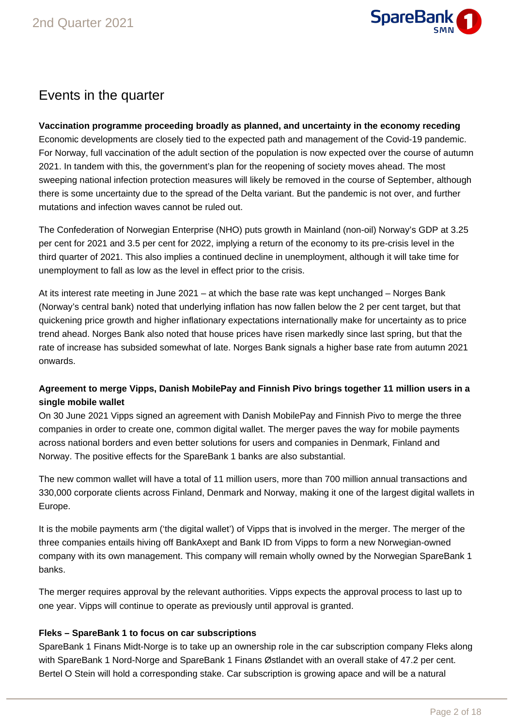

# Events in the quarter

# **Vaccination programme proceeding broadly as planned, and uncertainty in the economy receding**

Economic developments are closely tied to the expected path and management of the Covid-19 pandemic. For Norway, full vaccination of the adult section of the population is now expected over the course of autumn 2021. In tandem with this, the government's plan for the reopening of society moves ahead. The most sweeping national infection protection measures will likely be removed in the course of September, although there is some uncertainty due to the spread of the Delta variant. But the pandemic is not over, and further mutations and infection waves cannot be ruled out.

The Confederation of Norwegian Enterprise (NHO) puts growth in Mainland (non-oil) Norway's GDP at 3.25 per cent for 2021 and 3.5 per cent for 2022, implying a return of the economy to its pre-crisis level in the third quarter of 2021. This also implies a continued decline in unemployment, although it will take time for unemployment to fall as low as the level in effect prior to the crisis.

At its interest rate meeting in June 2021 – at which the base rate was kept unchanged – Norges Bank (Norway's central bank) noted that underlying inflation has now fallen below the 2 per cent target, but that quickening price growth and higher inflationary expectations internationally make for uncertainty as to price trend ahead. Norges Bank also noted that house prices have risen markedly since last spring, but that the rate of increase has subsided somewhat of late. Norges Bank signals a higher base rate from autumn 2021 onwards.

# **Agreement to merge Vipps, Danish MobilePay and Finnish Pivo brings together 11 million users in a single mobile wallet**

On 30 June 2021 Vipps signed an agreement with Danish MobilePay and Finnish Pivo to merge the three companies in order to create one, common digital wallet. The merger paves the way for mobile payments across national borders and even better solutions for users and companies in Denmark, Finland and Norway. The positive effects for the SpareBank 1 banks are also substantial.

The new common wallet will have a total of 11 million users, more than 700 million annual transactions and 330,000 corporate clients across Finland, Denmark and Norway, making it one of the largest digital wallets in Europe.

It is the mobile payments arm ('the digital wallet') of Vipps that is involved in the merger. The merger of the three companies entails hiving off BankAxept and Bank ID from Vipps to form a new Norwegian-owned company with its own management. This company will remain wholly owned by the Norwegian SpareBank 1 banks.

The merger requires approval by the relevant authorities. Vipps expects the approval process to last up to one year. Vipps will continue to operate as previously until approval is granted.

# **Fleks – SpareBank 1 to focus on car subscriptions**

SpareBank 1 Finans Midt-Norge is to take up an ownership role in the car subscription company Fleks along with SpareBank 1 Nord-Norge and SpareBank 1 Finans Østlandet with an overall stake of 47.2 per cent. Bertel O Stein will hold a corresponding stake. Car subscription is growing apace and will be a natural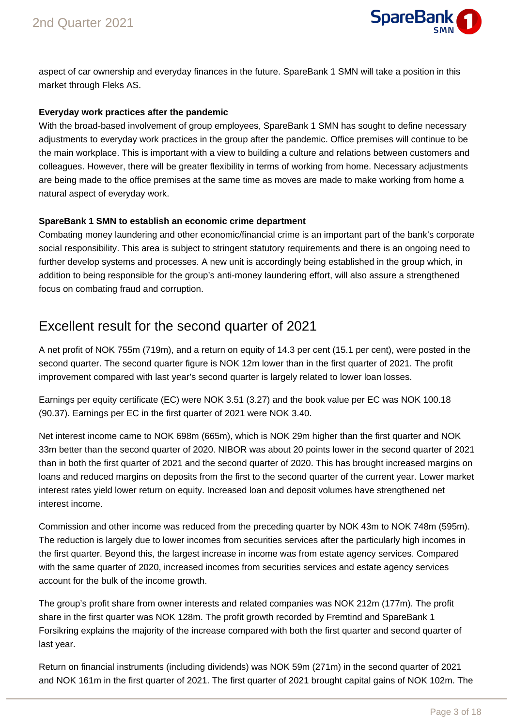

aspect of car ownership and everyday finances in the future. SpareBank 1 SMN will take a position in this market through Fleks AS.

# **Everyday work practices after the pandemic**

With the broad-based involvement of group employees, SpareBank 1 SMN has sought to define necessary adjustments to everyday work practices in the group after the pandemic. Office premises will continue to be the main workplace. This is important with a view to building a culture and relations between customers and colleagues. However, there will be greater flexibility in terms of working from home. Necessary adjustments are being made to the office premises at the same time as moves are made to make working from home a natural aspect of everyday work.

# **SpareBank 1 SMN to establish an economic crime department**

Combating money laundering and other economic/financial crime is an important part of the bank's corporate social responsibility. This area is subject to stringent statutory requirements and there is an ongoing need to further develop systems and processes. A new unit is accordingly being established in the group which, in addition to being responsible for the group's anti-money laundering effort, will also assure a strengthened focus on combating fraud and corruption.

# Excellent result for the second quarter of 2021

A net profit of NOK 755m (719m), and a return on equity of 14.3 per cent (15.1 per cent), were posted in the second quarter. The second quarter figure is NOK 12m lower than in the first quarter of 2021. The profit improvement compared with last year's second quarter is largely related to lower loan losses.

Earnings per equity certificate (EC) were NOK 3.51 (3.27) and the book value per EC was NOK 100.18 (90.37). Earnings per EC in the first quarter of 2021 were NOK 3.40.

Net interest income came to NOK 698m (665m), which is NOK 29m higher than the first quarter and NOK 33m better than the second quarter of 2020. NIBOR was about 20 points lower in the second quarter of 2021 than in both the first quarter of 2021 and the second quarter of 2020. This has brought increased margins on loans and reduced margins on deposits from the first to the second quarter of the current year. Lower market interest rates yield lower return on equity. Increased loan and deposit volumes have strengthened net interest income.

Commission and other income was reduced from the preceding quarter by NOK 43m to NOK 748m (595m). The reduction is largely due to lower incomes from securities services after the particularly high incomes in the first quarter. Beyond this, the largest increase in income was from estate agency services. Compared with the same quarter of 2020, increased incomes from securities services and estate agency services account for the bulk of the income growth.

The group's profit share from owner interests and related companies was NOK 212m (177m). The profit share in the first quarter was NOK 128m. The profit growth recorded by Fremtind and SpareBank 1 Forsikring explains the majority of the increase compared with both the first quarter and second quarter of last year.

Return on financial instruments (including dividends) was NOK 59m (271m) in the second quarter of 2021 and NOK 161m in the first quarter of 2021. The first quarter of 2021 brought capital gains of NOK 102m. The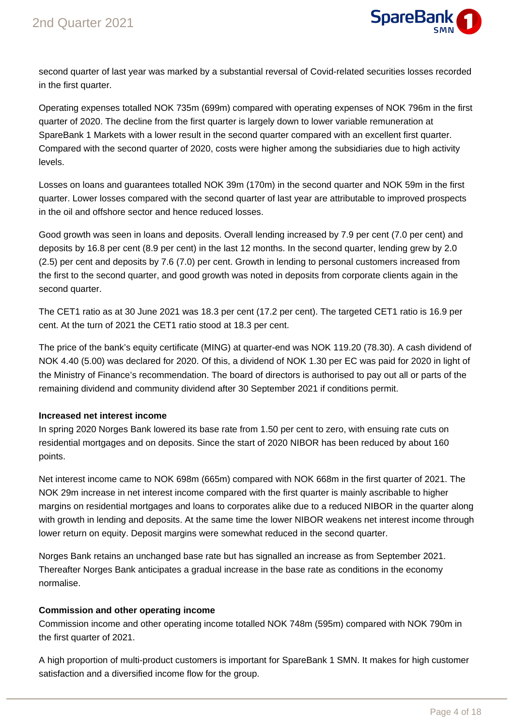

second quarter of last year was marked by a substantial reversal of Covid-related securities losses recorded in the first quarter.

Operating expenses totalled NOK 735m (699m) compared with operating expenses of NOK 796m in the first quarter of 2020. The decline from the first quarter is largely down to lower variable remuneration at SpareBank 1 Markets with a lower result in the second quarter compared with an excellent first quarter. Compared with the second quarter of 2020, costs were higher among the subsidiaries due to high activity levels.

Losses on loans and guarantees totalled NOK 39m (170m) in the second quarter and NOK 59m in the first quarter. Lower losses compared with the second quarter of last year are attributable to improved prospects in the oil and offshore sector and hence reduced losses.

Good growth was seen in loans and deposits. Overall lending increased by 7.9 per cent (7.0 per cent) and deposits by 16.8 per cent (8.9 per cent) in the last 12 months. In the second quarter, lending grew by 2.0 (2.5) per cent and deposits by 7.6 (7.0) per cent. Growth in lending to personal customers increased from the first to the second quarter, and good growth was noted in deposits from corporate clients again in the second quarter.

The CET1 ratio as at 30 June 2021 was 18.3 per cent (17.2 per cent). The targeted CET1 ratio is 16.9 per cent. At the turn of 2021 the CET1 ratio stood at 18.3 per cent.

The price of the bank's equity certificate (MING) at quarter-end was NOK 119.20 (78.30). A cash dividend of NOK 4.40 (5.00) was declared for 2020. Of this, a dividend of NOK 1.30 per EC was paid for 2020 in light of the Ministry of Finance's recommendation. The board of directors is authorised to pay out all or parts of the remaining dividend and community dividend after 30 September 2021 if conditions permit.

# **Increased net interest income**

In spring 2020 Norges Bank lowered its base rate from 1.50 per cent to zero, with ensuing rate cuts on residential mortgages and on deposits. Since the start of 2020 NIBOR has been reduced by about 160 points.

Net interest income came to NOK 698m (665m) compared with NOK 668m in the first quarter of 2021. The NOK 29m increase in net interest income compared with the first quarter is mainly ascribable to higher margins on residential mortgages and loans to corporates alike due to a reduced NIBOR in the quarter along with growth in lending and deposits. At the same time the lower NIBOR weakens net interest income through lower return on equity. Deposit margins were somewhat reduced in the second quarter.

Norges Bank retains an unchanged base rate but has signalled an increase as from September 2021. Thereafter Norges Bank anticipates a gradual increase in the base rate as conditions in the economy normalise.

# **Commission and other operating income**

Commission income and other operating income totalled NOK 748m (595m) compared with NOK 790m in the first quarter of 2021.

A high proportion of multi-product customers is important for SpareBank 1 SMN. It makes for high customer satisfaction and a diversified income flow for the group.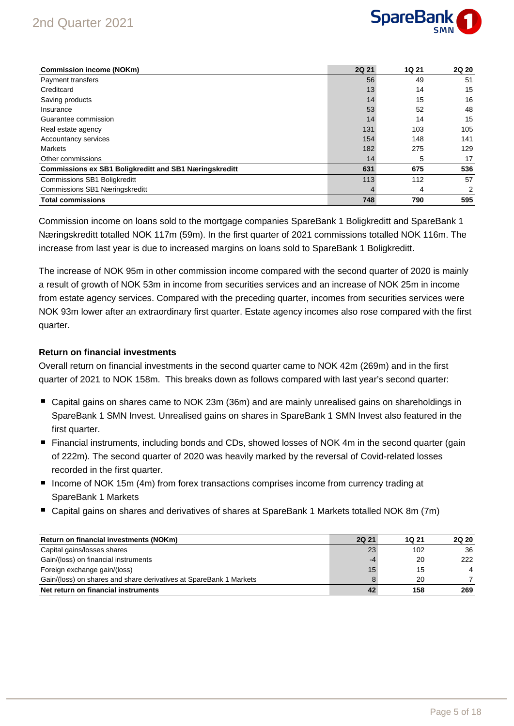# 2nd Quarter 2021



| <b>Commission income (NOKm)</b>                               | <b>2Q 21</b> | <b>1Q 21</b> | 2Q 20 |
|---------------------------------------------------------------|--------------|--------------|-------|
| Payment transfers                                             | 56           | 49           | 51    |
| Creditcard                                                    | 13           | 14           | 15    |
| Saving products                                               | 14           | 15           | 16    |
| Insurance                                                     | 53           | 52           | 48    |
| Guarantee commission                                          | 14           | 14           | 15    |
| Real estate agency                                            | 131          | 103          | 105   |
| Accountancy services                                          | 154          | 148          | 141   |
| <b>Markets</b>                                                | 182          | 275          | 129   |
| Other commissions                                             | 14           | 5            | 17    |
| <b>Commissions ex SB1 Boligkreditt and SB1 Næringskreditt</b> | 631          | 675          | 536   |
| <b>Commissions SB1 Boligkreditt</b>                           | 113          | 112          | 57    |
| Commissions SB1 Næringskreditt                                |              | 4            | 2     |
| <b>Total commissions</b>                                      | 748          | 790          | 595   |

Commission income on loans sold to the mortgage companies SpareBank 1 Boligkreditt and SpareBank 1 Næringskreditt totalled NOK 117m (59m). In the first quarter of 2021 commissions totalled NOK 116m. The increase from last year is due to increased margins on loans sold to SpareBank 1 Boligkreditt.

The increase of NOK 95m in other commission income compared with the second quarter of 2020 is mainly a result of growth of NOK 53m in income from securities services and an increase of NOK 25m in income from estate agency services. Compared with the preceding quarter, incomes from securities services were NOK 93m lower after an extraordinary first quarter. Estate agency incomes also rose compared with the first quarter.

### **Return on financial investments**

Overall return on financial investments in the second quarter came to NOK 42m (269m) and in the first quarter of 2021 to NOK 158m. This breaks down as follows compared with last year's second quarter:

- Capital gains on shares came to NOK 23m (36m) and are mainly unrealised gains on shareholdings in SpareBank 1 SMN Invest. Unrealised gains on shares in SpareBank 1 SMN Invest also featured in the first quarter.
- Financial instruments, including bonds and CDs, showed losses of NOK 4m in the second quarter (gain of 222m). The second quarter of 2020 was heavily marked by the reversal of Covid-related losses recorded in the first quarter.
- Income of NOK 15m (4m) from forex transactions comprises income from currency trading at SpareBank 1 Markets
- Capital gains on shares and derivatives of shares at SpareBank 1 Markets totalled NOK 8m (7m)

| Return on financial investments (NOKm)                             | <b>2Q 21</b> | <b>1Q 21</b> | <b>2Q 20</b>   |
|--------------------------------------------------------------------|--------------|--------------|----------------|
| Capital gains/losses shares                                        | 23           | 102          | 36             |
| Gain/(loss) on financial instruments                               | -4           | 20           | 222            |
| Foreign exchange gain/(loss)                                       | 15           | 15           | $\overline{4}$ |
| Gain/(loss) on shares and share derivatives at SpareBank 1 Markets |              | 20           |                |
| Net return on financial instruments                                | 42           | 158          | 269            |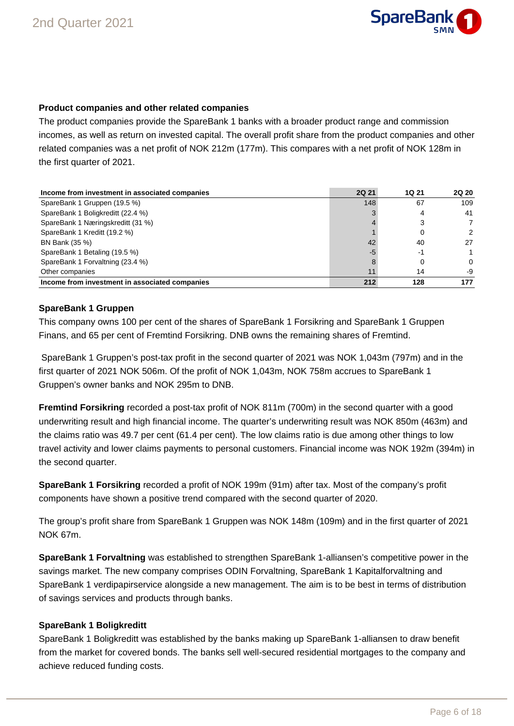

### **Product companies and other related companies**

The product companies provide the SpareBank 1 banks with a broader product range and commission incomes, as well as return on invested capital. The overall profit share from the product companies and other related companies was a net profit of NOK 212m (177m). This compares with a net profit of NOK 128m in the first quarter of 2021.

| Income from investment in associated companies | <b>2Q 21</b> | <b>1Q 21</b> | <b>2Q 20</b> |
|------------------------------------------------|--------------|--------------|--------------|
| SpareBank 1 Gruppen (19.5 %)                   | 148          | 67           | 109          |
| SpareBank 1 Boligkreditt (22.4 %)              |              | 4            | 41           |
| SpareBank 1 Næringskreditt (31 %)              |              | 3            |              |
| SpareBank 1 Kreditt (19.2 %)                   |              | 0            | 2            |
| BN Bank (35 %)                                 | 42           | 40           | 27           |
| SpareBank 1 Betaling (19.5 %)                  | -5           | -1           |              |
| SpareBank 1 Forvaltning (23.4 %)               |              | 0            | $\Omega$     |
| Other companies                                |              | 14           | -9           |
| Income from investment in associated companies | 212          | 128          | 177          |

### **SpareBank 1 Gruppen**

This company owns 100 per cent of the shares of SpareBank 1 Forsikring and SpareBank 1 Gruppen Finans, and 65 per cent of Fremtind Forsikring. DNB owns the remaining shares of Fremtind.

 SpareBank 1 Gruppen's post-tax profit in the second quarter of 2021 was NOK 1,043m (797m) and in the first quarter of 2021 NOK 506m. Of the profit of NOK 1,043m, NOK 758m accrues to SpareBank 1 Gruppen's owner banks and NOK 295m to DNB.

**Fremtind Forsikring** recorded a post-tax profit of NOK 811m (700m) in the second quarter with a good underwriting result and high financial income. The quarter's underwriting result was NOK 850m (463m) and the claims ratio was 49.7 per cent (61.4 per cent). The low claims ratio is due among other things to low travel activity and lower claims payments to personal customers. Financial income was NOK 192m (394m) in the second quarter.

**SpareBank 1 Forsikring** recorded a profit of NOK 199m (91m) after tax. Most of the company's profit components have shown a positive trend compared with the second quarter of 2020.

The group's profit share from SpareBank 1 Gruppen was NOK 148m (109m) and in the first quarter of 2021 NOK 67m.

**SpareBank 1 Forvaltning** was established to strengthen SpareBank 1-alliansen's competitive power in the savings market. The new company comprises ODIN Forvaltning, SpareBank 1 Kapitalforvaltning and SpareBank 1 verdipapirservice alongside a new management. The aim is to be best in terms of distribution of savings services and products through banks.

# **SpareBank 1 Boligkreditt**

SpareBank 1 Boligkreditt was established by the banks making up SpareBank 1-alliansen to draw benefit from the market for covered bonds. The banks sell well-secured residential mortgages to the company and achieve reduced funding costs.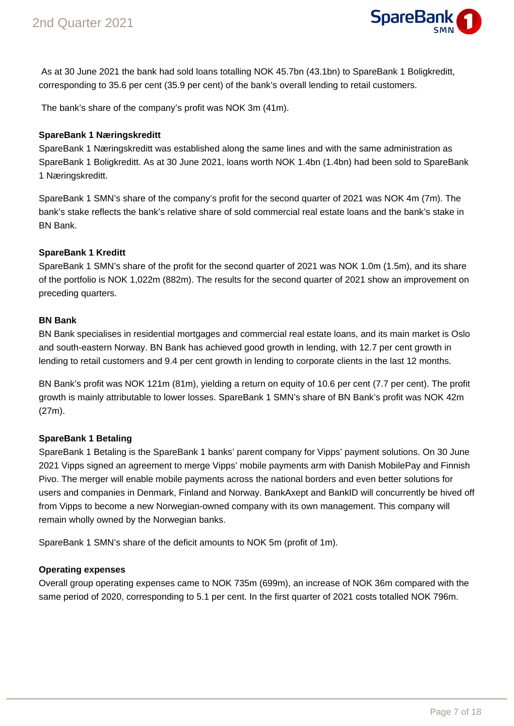

 As at 30 June 2021 the bank had sold loans totalling NOK 45.7bn (43.1bn) to SpareBank 1 Boligkreditt, corresponding to 35.6 per cent (35.9 per cent) of the bank's overall lending to retail customers.

The bank's share of the company's profit was NOK 3m (41m).

### **SpareBank 1 Næringskreditt**

SpareBank 1 Næringskreditt was established along the same lines and with the same administration as SpareBank 1 Boligkreditt. As at 30 June 2021, loans worth NOK 1.4bn (1.4bn) had been sold to SpareBank 1 Næringskreditt.

SpareBank 1 SMN's share of the company's profit for the second quarter of 2021 was NOK 4m (7m). The bank's stake reflects the bank's relative share of sold commercial real estate loans and the bank's stake in BN Bank.

### **SpareBank 1 Kreditt**

SpareBank 1 SMN's share of the profit for the second quarter of 2021 was NOK 1.0m (1.5m), and its share of the portfolio is NOK 1,022m (882m). The results for the second quarter of 2021 show an improvement on preceding quarters.

#### **BN Bank**

BN Bank specialises in residential mortgages and commercial real estate loans, and its main market is Oslo and south-eastern Norway. BN Bank has achieved good growth in lending, with 12.7 per cent growth in lending to retail customers and 9.4 per cent growth in lending to corporate clients in the last 12 months.

BN Bank's profit was NOK 121m (81m), yielding a return on equity of 10.6 per cent (7.7 per cent). The profit growth is mainly attributable to lower losses. SpareBank 1 SMN's share of BN Bank's profit was NOK 42m (27m).

# **SpareBank 1 Betaling**

SpareBank 1 Betaling is the SpareBank 1 banks' parent company for Vipps' payment solutions. On 30 June 2021 Vipps signed an agreement to merge Vipps' mobile payments arm with Danish MobilePay and Finnish Pivo. The merger will enable mobile payments across the national borders and even better solutions for users and companies in Denmark, Finland and Norway. BankAxept and BankID will concurrently be hived off from Vipps to become a new Norwegian-owned company with its own management. This company will remain wholly owned by the Norwegian banks.

SpareBank 1 SMN's share of the deficit amounts to NOK 5m (profit of 1m).

# **Operating expenses**

Overall group operating expenses came to NOK 735m (699m), an increase of NOK 36m compared with the same period of 2020, corresponding to 5.1 per cent. In the first quarter of 2021 costs totalled NOK 796m.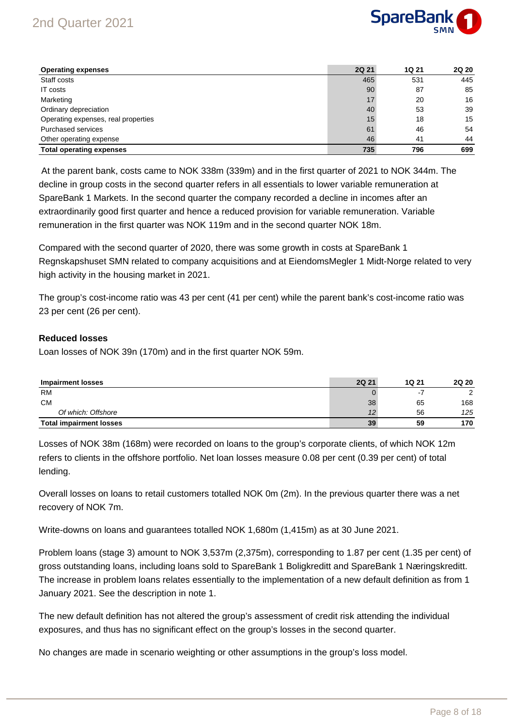# 2nd Quarter 2021



| <b>Operating expenses</b>           | <b>2Q 21</b> | 1Q 21 | <b>2Q 20</b> |
|-------------------------------------|--------------|-------|--------------|
| Staff costs                         | 465          | 531   | 445          |
| IT costs                            | 90           | 87    | 85           |
| Marketing                           | 17           | 20    | 16           |
| Ordinary depreciation               | 40           | 53    | 39           |
| Operating expenses, real properties | 15           | 18    | 15           |
| <b>Purchased services</b>           | 61           | 46    | 54           |
| Other operating expense             | 46           | 41    | 44           |
| <b>Total operating expenses</b>     | 735          | 796   | 699          |

 At the parent bank, costs came to NOK 338m (339m) and in the first quarter of 2021 to NOK 344m. The decline in group costs in the second quarter refers in all essentials to lower variable remuneration at SpareBank 1 Markets. In the second quarter the company recorded a decline in incomes after an extraordinarily good first quarter and hence a reduced provision for variable remuneration. Variable remuneration in the first quarter was NOK 119m and in the second quarter NOK 18m.

Compared with the second quarter of 2020, there was some growth in costs at SpareBank 1 Regnskapshuset SMN related to company acquisitions and at EiendomsMegler 1 Midt-Norge related to very high activity in the housing market in 2021.

The group's cost-income ratio was 43 per cent (41 per cent) while the parent bank's cost-income ratio was 23 per cent (26 per cent).

### **Reduced losses**

Loan losses of NOK 39n (170m) and in the first quarter NOK 59m.

| <b>Impairment losses</b>       | <b>2Q 21</b> | 1Q 21 | <b>2Q 20</b> |
|--------------------------------|--------------|-------|--------------|
| <b>RM</b>                      |              |       | ົ            |
| <b>CM</b>                      | 38           | 65    | 168          |
| Of which: Offshore             |              | 56    | 125          |
| <b>Total impairment losses</b> | 39           | 59    | 170          |

Losses of NOK 38m (168m) were recorded on loans to the group's corporate clients, of which NOK 12m refers to clients in the offshore portfolio. Net loan losses measure 0.08 per cent (0.39 per cent) of total lending.

Overall losses on loans to retail customers totalled NOK 0m (2m). In the previous quarter there was a net recovery of NOK 7m.

Write-downs on loans and guarantees totalled NOK 1,680m (1,415m) as at 30 June 2021.

Problem loans (stage 3) amount to NOK 3,537m (2,375m), corresponding to 1.87 per cent (1.35 per cent) of gross outstanding loans, including loans sold to SpareBank 1 Boligkreditt and SpareBank 1 Næringskreditt. The increase in problem loans relates essentially to the implementation of a new default definition as from 1 January 2021. See the description in note 1.

The new default definition has not altered the group's assessment of credit risk attending the individual exposures, and thus has no significant effect on the group's losses in the second quarter.

No changes are made in scenario weighting or other assumptions in the group's loss model.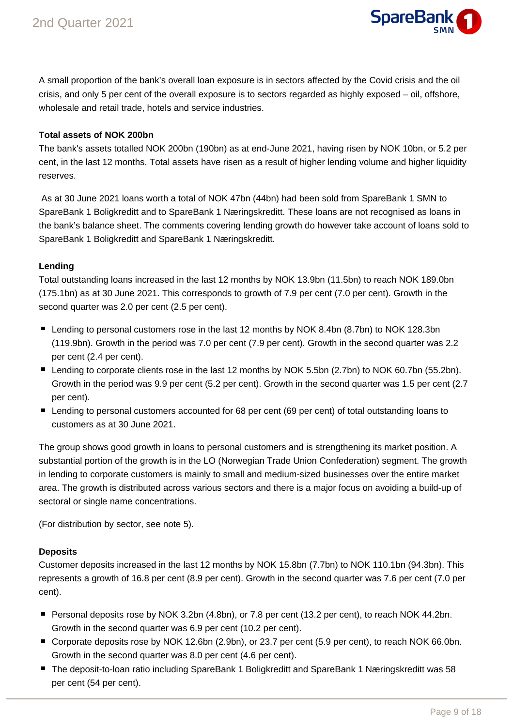

A small proportion of the bank's overall loan exposure is in sectors affected by the Covid crisis and the oil crisis, and only 5 per cent of the overall exposure is to sectors regarded as highly exposed – oil, offshore, wholesale and retail trade, hotels and service industries.

# **Total assets of NOK 200bn**

The bank's assets totalled NOK 200bn (190bn) as at end-June 2021, having risen by NOK 10bn, or 5.2 per cent, in the last 12 months. Total assets have risen as a result of higher lending volume and higher liquidity reserves.

 As at 30 June 2021 loans worth a total of NOK 47bn (44bn) had been sold from SpareBank 1 SMN to SpareBank 1 Boligkreditt and to SpareBank 1 Næringskreditt. These loans are not recognised as loans in the bank's balance sheet. The comments covering lending growth do however take account of loans sold to SpareBank 1 Boligkreditt and SpareBank 1 Næringskreditt.

# **Lending**

Total outstanding loans increased in the last 12 months by NOK 13.9bn (11.5bn) to reach NOK 189.0bn (175.1bn) as at 30 June 2021. This corresponds to growth of 7.9 per cent (7.0 per cent). Growth in the second quarter was 2.0 per cent (2.5 per cent).

- Lending to personal customers rose in the last 12 months by NOK 8.4bn (8.7bn) to NOK 128.3bn (119.9bn). Growth in the period was 7.0 per cent (7.9 per cent). Growth in the second quarter was 2.2 per cent (2.4 per cent).
- Lending to corporate clients rose in the last 12 months by NOK 5.5bn (2.7bn) to NOK 60.7bn (55.2bn). Growth in the period was 9.9 per cent (5.2 per cent). Growth in the second quarter was 1.5 per cent (2.7 per cent).
- Lending to personal customers accounted for 68 per cent (69 per cent) of total outstanding loans to customers as at 30 June 2021.

The group shows good growth in loans to personal customers and is strengthening its market position. A substantial portion of the growth is in the LO (Norwegian Trade Union Confederation) segment. The growth in lending to corporate customers is mainly to small and medium-sized businesses over the entire market area. The growth is distributed across various sectors and there is a major focus on avoiding a build-up of sectoral or single name concentrations.

(For distribution by sector, see note 5).

# **Deposits**

Customer deposits increased in the last 12 months by NOK 15.8bn (7.7bn) to NOK 110.1bn (94.3bn). This represents a growth of 16.8 per cent (8.9 per cent). Growth in the second quarter was 7.6 per cent (7.0 per cent).

- Personal deposits rose by NOK 3.2bn (4.8bn), or 7.8 per cent (13.2 per cent), to reach NOK 44.2bn. Growth in the second quarter was 6.9 per cent (10.2 per cent).
- Corporate deposits rose by NOK 12.6bn (2.9bn), or 23.7 per cent (5.9 per cent), to reach NOK 66.0bn. Growth in the second quarter was 8.0 per cent (4.6 per cent).
- The deposit-to-loan ratio including SpareBank 1 Boligkreditt and SpareBank 1 Næringskreditt was 58 per cent (54 per cent).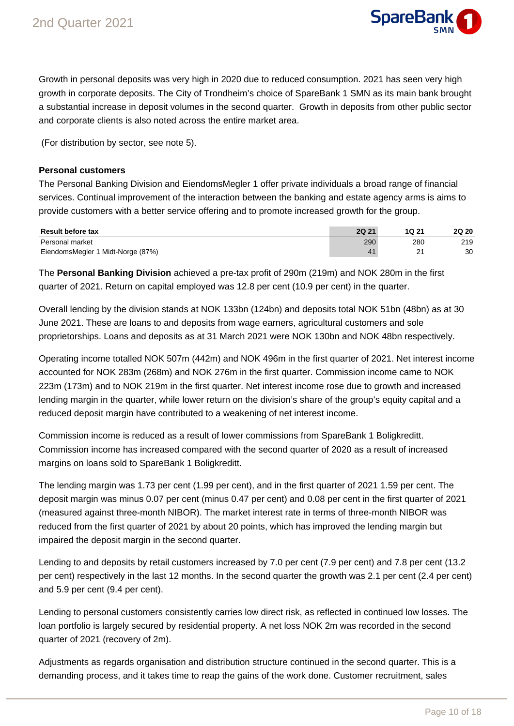

Growth in personal deposits was very high in 2020 due to reduced consumption. 2021 has seen very high growth in corporate deposits. The City of Trondheim's choice of SpareBank 1 SMN as its main bank brought a substantial increase in deposit volumes in the second quarter. Growth in deposits from other public sector and corporate clients is also noted across the entire market area.

(For distribution by sector, see note 5).

#### **Personal customers**

The Personal Banking Division and EiendomsMegler 1 offer private individuals a broad range of financial services. Continual improvement of the interaction between the banking and estate agency arms is aims to provide customers with a better service offering and to promote increased growth for the group.

| <b>Result before tax</b>          | <b>2Q 21</b> | 1Q 21 | <b>2Q 20</b> |
|-----------------------------------|--------------|-------|--------------|
| Personal market                   | 290          | 280   | 219          |
| EiendomsMegler 1 Midt-Norge (87%) |              |       | 30           |

The **Personal Banking Division** achieved a pre-tax profit of 290m (219m) and NOK 280m in the first quarter of 2021. Return on capital employed was 12.8 per cent (10.9 per cent) in the quarter.

Overall lending by the division stands at NOK 133bn (124bn) and deposits total NOK 51bn (48bn) as at 30 June 2021. These are loans to and deposits from wage earners, agricultural customers and sole proprietorships. Loans and deposits as at 31 March 2021 were NOK 130bn and NOK 48bn respectively.

Operating income totalled NOK 507m (442m) and NOK 496m in the first quarter of 2021. Net interest income accounted for NOK 283m (268m) and NOK 276m in the first quarter. Commission income came to NOK 223m (173m) and to NOK 219m in the first quarter. Net interest income rose due to growth and increased lending margin in the quarter, while lower return on the division's share of the group's equity capital and a reduced deposit margin have contributed to a weakening of net interest income.

Commission income is reduced as a result of lower commissions from SpareBank 1 Boligkreditt. Commission income has increased compared with the second quarter of 2020 as a result of increased margins on loans sold to SpareBank 1 Boligkreditt.

The lending margin was 1.73 per cent (1.99 per cent), and in the first quarter of 2021 1.59 per cent. The deposit margin was minus 0.07 per cent (minus 0.47 per cent) and 0.08 per cent in the first quarter of 2021 (measured against three-month NIBOR). The market interest rate in terms of three-month NIBOR was reduced from the first quarter of 2021 by about 20 points, which has improved the lending margin but impaired the deposit margin in the second quarter.

Lending to and deposits by retail customers increased by 7.0 per cent (7.9 per cent) and 7.8 per cent (13.2 per cent) respectively in the last 12 months. In the second quarter the growth was 2.1 per cent (2.4 per cent) and 5.9 per cent (9.4 per cent).

Lending to personal customers consistently carries low direct risk, as reflected in continued low losses. The loan portfolio is largely secured by residential property. A net loss NOK 2m was recorded in the second quarter of 2021 (recovery of 2m).

Adjustments as regards organisation and distribution structure continued in the second quarter. This is a demanding process, and it takes time to reap the gains of the work done. Customer recruitment, sales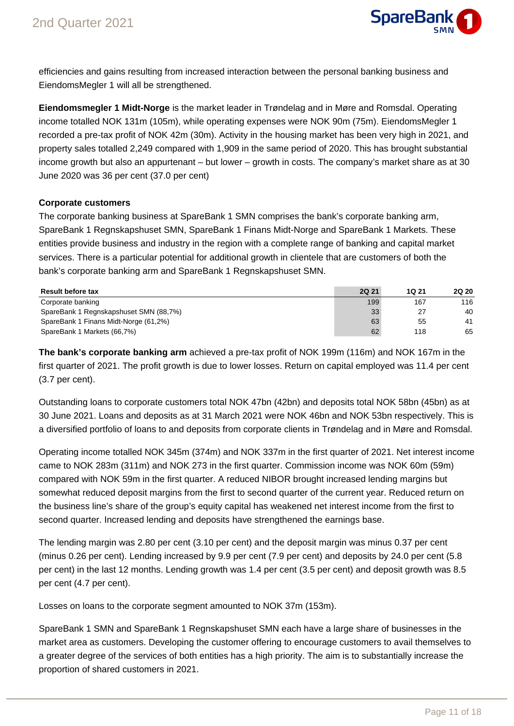

efficiencies and gains resulting from increased interaction between the personal banking business and EiendomsMegler 1 will all be strengthened.

**Eiendomsmegler 1 Midt-Norge** is the market leader in Trøndelag and in Møre and Romsdal. Operating income totalled NOK 131m (105m), while operating expenses were NOK 90m (75m). EiendomsMegler 1 recorded a pre-tax profit of NOK 42m (30m). Activity in the housing market has been very high in 2021, and property sales totalled 2,249 compared with 1,909 in the same period of 2020. This has brought substantial income growth but also an appurtenant – but lower – growth in costs. The company's market share as at 30 June 2020 was 36 per cent (37.0 per cent)

### **Corporate customers**

The corporate banking business at SpareBank 1 SMN comprises the bank's corporate banking arm, SpareBank 1 Regnskapshuset SMN, SpareBank 1 Finans Midt-Norge and SpareBank 1 Markets. These entities provide business and industry in the region with a complete range of banking and capital market services. There is a particular potential for additional growth in clientele that are customers of both the bank's corporate banking arm and SpareBank 1 Regnskapshuset SMN.

| <b>Result before tax</b>               | <b>2Q 21</b> | 1Q 21 | <b>2Q 20</b> |
|----------------------------------------|--------------|-------|--------------|
| Corporate banking                      | 199          | 167   | 116          |
| SpareBank 1 Regnskapshuset SMN (88,7%) | 33           | 27    | 40           |
| SpareBank 1 Finans Midt-Norge (61,2%)  | 63           | 55    | 41           |
| SpareBank 1 Markets (66,7%)            | 62           | 118   | 65           |

**The bank's corporate banking arm** achieved a pre-tax profit of NOK 199m (116m) and NOK 167m in the first quarter of 2021. The profit growth is due to lower losses. Return on capital employed was 11.4 per cent (3.7 per cent).

Outstanding loans to corporate customers total NOK 47bn (42bn) and deposits total NOK 58bn (45bn) as at 30 June 2021. Loans and deposits as at 31 March 2021 were NOK 46bn and NOK 53bn respectively. This is a diversified portfolio of loans to and deposits from corporate clients in Trøndelag and in Møre and Romsdal.

Operating income totalled NOK 345m (374m) and NOK 337m in the first quarter of 2021. Net interest income came to NOK 283m (311m) and NOK 273 in the first quarter. Commission income was NOK 60m (59m) compared with NOK 59m in the first quarter. A reduced NIBOR brought increased lending margins but somewhat reduced deposit margins from the first to second quarter of the current year. Reduced return on the business line's share of the group's equity capital has weakened net interest income from the first to second quarter. Increased lending and deposits have strengthened the earnings base.

The lending margin was 2.80 per cent (3.10 per cent) and the deposit margin was minus 0.37 per cent (minus 0.26 per cent). Lending increased by 9.9 per cent (7.9 per cent) and deposits by 24.0 per cent (5.8 per cent) in the last 12 months. Lending growth was 1.4 per cent (3.5 per cent) and deposit growth was 8.5 per cent (4.7 per cent).

Losses on loans to the corporate segment amounted to NOK 37m (153m).

SpareBank 1 SMN and SpareBank 1 Regnskapshuset SMN each have a large share of businesses in the market area as customers. Developing the customer offering to encourage customers to avail themselves to a greater degree of the services of both entities has a high priority. The aim is to substantially increase the proportion of shared customers in 2021.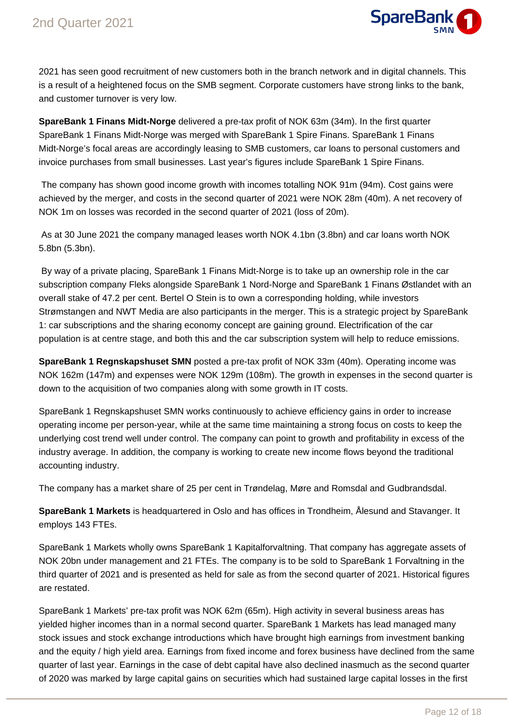

2021 has seen good recruitment of new customers both in the branch network and in digital channels. This is a result of a heightened focus on the SMB segment. Corporate customers have strong links to the bank, and customer turnover is very low.

**SpareBank 1 Finans Midt-Norge** delivered a pre-tax profit of NOK 63m (34m). In the first quarter SpareBank 1 Finans Midt-Norge was merged with SpareBank 1 Spire Finans. SpareBank 1 Finans Midt-Norge's focal areas are accordingly leasing to SMB customers, car loans to personal customers and invoice purchases from small businesses. Last year's figures include SpareBank 1 Spire Finans.

 The company has shown good income growth with incomes totalling NOK 91m (94m). Cost gains were achieved by the merger, and costs in the second quarter of 2021 were NOK 28m (40m). A net recovery of NOK 1m on losses was recorded in the second quarter of 2021 (loss of 20m).

 As at 30 June 2021 the company managed leases worth NOK 4.1bn (3.8bn) and car loans worth NOK 5.8bn (5.3bn).

 By way of a private placing, SpareBank 1 Finans Midt-Norge is to take up an ownership role in the car subscription company Fleks alongside SpareBank 1 Nord-Norge and SpareBank 1 Finans Østlandet with an overall stake of 47.2 per cent. Bertel O Stein is to own a corresponding holding, while investors Strømstangen and NWT Media are also participants in the merger. This is a strategic project by SpareBank 1: car subscriptions and the sharing economy concept are gaining ground. Electrification of the car population is at centre stage, and both this and the car subscription system will help to reduce emissions.

**SpareBank 1 Regnskapshuset SMN** posted a pre-tax profit of NOK 33m (40m). Operating income was NOK 162m (147m) and expenses were NOK 129m (108m). The growth in expenses in the second quarter is down to the acquisition of two companies along with some growth in IT costs.

SpareBank 1 Regnskapshuset SMN works continuously to achieve efficiency gains in order to increase operating income per person-year, while at the same time maintaining a strong focus on costs to keep the underlying cost trend well under control. The company can point to growth and profitability in excess of the industry average. In addition, the company is working to create new income flows beyond the traditional accounting industry.

The company has a market share of 25 per cent in Trøndelag, Møre and Romsdal and Gudbrandsdal.

**SpareBank 1 Markets** is headquartered in Oslo and has offices in Trondheim, Ålesund and Stavanger. It employs 143 FTEs.

SpareBank 1 Markets wholly owns SpareBank 1 Kapitalforvaltning. That company has aggregate assets of NOK 20bn under management and 21 FTEs. The company is to be sold to SpareBank 1 Forvaltning in the third quarter of 2021 and is presented as held for sale as from the second quarter of 2021. Historical figures are restated.

SpareBank 1 Markets' pre-tax profit was NOK 62m (65m). High activity in several business areas has yielded higher incomes than in a normal second quarter. SpareBank 1 Markets has lead managed many stock issues and stock exchange introductions which have brought high earnings from investment banking and the equity / high yield area. Earnings from fixed income and forex business have declined from the same quarter of last year. Earnings in the case of debt capital have also declined inasmuch as the second quarter of 2020 was marked by large capital gains on securities which had sustained large capital losses in the first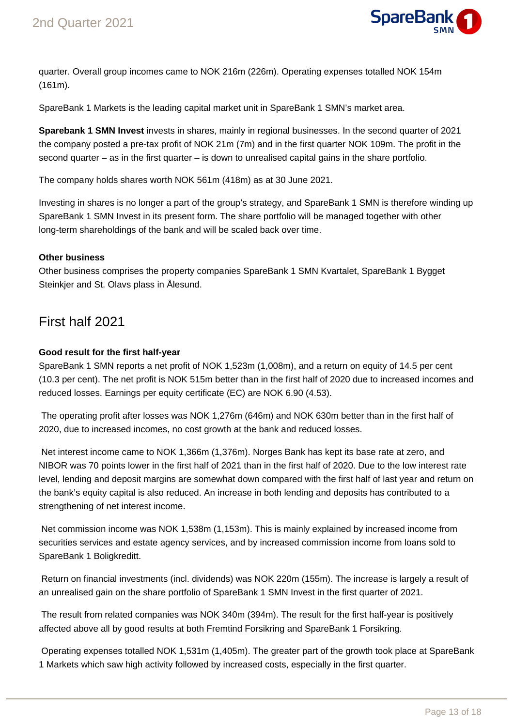

quarter. Overall group incomes came to NOK 216m (226m). Operating expenses totalled NOK 154m (161m).

SpareBank 1 Markets is the leading capital market unit in SpareBank 1 SMN's market area.

**Sparebank 1 SMN Invest** invests in shares, mainly in regional businesses. In the second quarter of 2021 the company posted a pre-tax profit of NOK 21m (7m) and in the first quarter NOK 109m. The profit in the second quarter – as in the first quarter – is down to unrealised capital gains in the share portfolio.

The company holds shares worth NOK 561m (418m) as at 30 June 2021.

Investing in shares is no longer a part of the group's strategy, and SpareBank 1 SMN is therefore winding up SpareBank 1 SMN Invest in its present form. The share portfolio will be managed together with other long-term shareholdings of the bank and will be scaled back over time.

### **Other business**

Other business comprises the property companies SpareBank 1 SMN Kvartalet, SpareBank 1 Bygget Steinkjer and St. Olavs plass in Ålesund.

# First half 2021

# **Good result for the first half-year**

SpareBank 1 SMN reports a net profit of NOK 1,523m (1,008m), and a return on equity of 14.5 per cent (10.3 per cent). The net profit is NOK 515m better than in the first half of 2020 due to increased incomes and reduced losses. Earnings per equity certificate (EC) are NOK 6.90 (4.53).

 The operating profit after losses was NOK 1,276m (646m) and NOK 630m better than in the first half of 2020, due to increased incomes, no cost growth at the bank and reduced losses.

 Net interest income came to NOK 1,366m (1,376m). Norges Bank has kept its base rate at zero, and NIBOR was 70 points lower in the first half of 2021 than in the first half of 2020. Due to the low interest rate level, lending and deposit margins are somewhat down compared with the first half of last year and return on the bank's equity capital is also reduced. An increase in both lending and deposits has contributed to a strengthening of net interest income.

 Net commission income was NOK 1,538m (1,153m). This is mainly explained by increased income from securities services and estate agency services, and by increased commission income from loans sold to SpareBank 1 Boligkreditt.

 Return on financial investments (incl. dividends) was NOK 220m (155m). The increase is largely a result of an unrealised gain on the share portfolio of SpareBank 1 SMN Invest in the first quarter of 2021.

 The result from related companies was NOK 340m (394m). The result for the first half-year is positively affected above all by good results at both Fremtind Forsikring and SpareBank 1 Forsikring.

 Operating expenses totalled NOK 1,531m (1,405m). The greater part of the growth took place at SpareBank 1 Markets which saw high activity followed by increased costs, especially in the first quarter.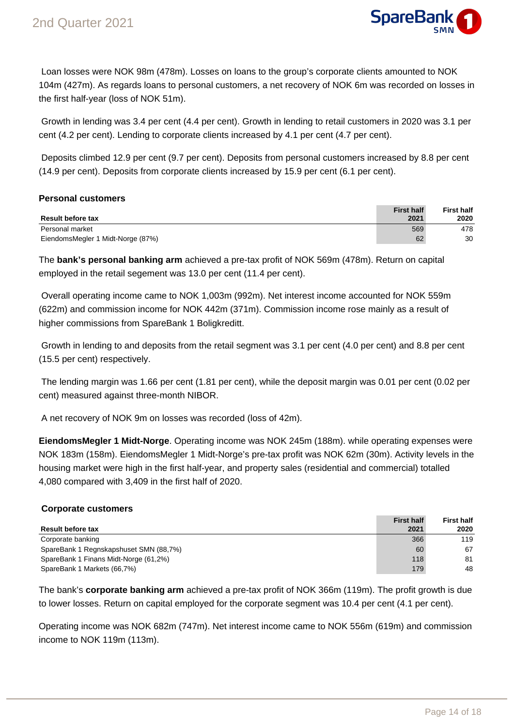

 Loan losses were NOK 98m (478m). Losses on loans to the group's corporate clients amounted to NOK 104m (427m). As regards loans to personal customers, a net recovery of NOK 6m was recorded on losses in the first half-year (loss of NOK 51m).

 Growth in lending was 3.4 per cent (4.4 per cent). Growth in lending to retail customers in 2020 was 3.1 per cent (4.2 per cent). Lending to corporate clients increased by 4.1 per cent (4.7 per cent).

 Deposits climbed 12.9 per cent (9.7 per cent). Deposits from personal customers increased by 8.8 per cent (14.9 per cent). Deposits from corporate clients increased by 15.9 per cent (6.1 per cent).

### **Personal customers**

| <b>Result before tax</b>          | <b>First half</b><br>2021 | <b>First half</b><br>2020 |
|-----------------------------------|---------------------------|---------------------------|
| Personal market                   | 569                       | 478                       |
| EiendomsMegler 1 Midt-Norge (87%) | 62                        | 30                        |

The **bank's personal banking arm** achieved a pre-tax profit of NOK 569m (478m). Return on capital employed in the retail segement was 13.0 per cent (11.4 per cent).

 Overall operating income came to NOK 1,003m (992m). Net interest income accounted for NOK 559m (622m) and commission income for NOK 442m (371m). Commission income rose mainly as a result of higher commissions from SpareBank 1 Boligkreditt.

 Growth in lending to and deposits from the retail segment was 3.1 per cent (4.0 per cent) and 8.8 per cent (15.5 per cent) respectively.

 The lending margin was 1.66 per cent (1.81 per cent), while the deposit margin was 0.01 per cent (0.02 per cent) measured against three-month NIBOR.

A net recovery of NOK 9m on losses was recorded (loss of 42m).

**EiendomsMegler 1 Midt-Norge**. Operating income was NOK 245m (188m). while operating expenses were NOK 183m (158m). EiendomsMegler 1 Midt-Norge's pre-tax profit was NOK 62m (30m). Activity levels in the housing market were high in the first half-year, and property sales (residential and commercial) totalled 4,080 compared with 3,409 in the first half of 2020.

#### **Corporate customers**

|                                        | <b>First half</b> | <b>First half</b> |
|----------------------------------------|-------------------|-------------------|
| <b>Result before tax</b>               | 2021              | 2020              |
| Corporate banking                      | 366               | 119               |
| SpareBank 1 Regnskapshuset SMN (88,7%) | 60                | 67                |
| SpareBank 1 Finans Midt-Norge (61,2%)  | 118               | 81                |
| SpareBank 1 Markets (66,7%)            | 179               | 48                |

The bank's **corporate banking arm** achieved a pre-tax profit of NOK 366m (119m). The profit growth is due to lower losses. Return on capital employed for the corporate segment was 10.4 per cent (4.1 per cent).

Operating income was NOK 682m (747m). Net interest income came to NOK 556m (619m) and commission income to NOK 119m (113m).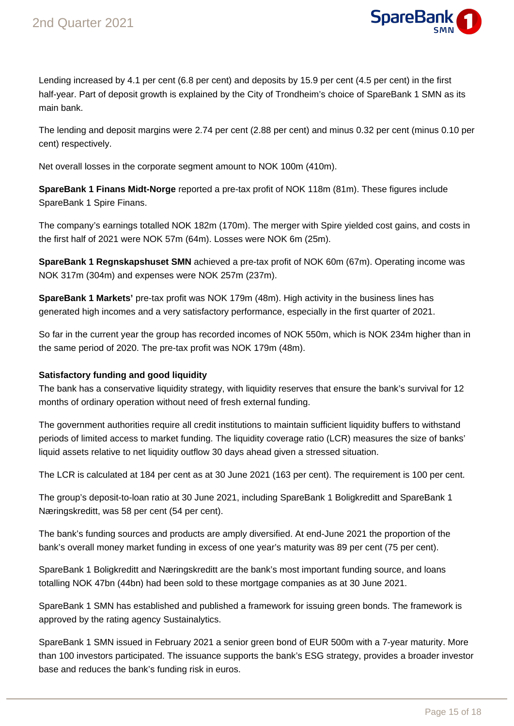

Lending increased by 4.1 per cent (6.8 per cent) and deposits by 15.9 per cent (4.5 per cent) in the first half-year. Part of deposit growth is explained by the City of Trondheim's choice of SpareBank 1 SMN as its main bank.

The lending and deposit margins were 2.74 per cent (2.88 per cent) and minus 0.32 per cent (minus 0.10 per cent) respectively.

Net overall losses in the corporate segment amount to NOK 100m (410m).

**SpareBank 1 Finans Midt-Norge** reported a pre-tax profit of NOK 118m (81m). These figures include SpareBank 1 Spire Finans.

The company's earnings totalled NOK 182m (170m). The merger with Spire yielded cost gains, and costs in the first half of 2021 were NOK 57m (64m). Losses were NOK 6m (25m).

**SpareBank 1 Regnskapshuset SMN** achieved a pre-tax profit of NOK 60m (67m). Operating income was NOK 317m (304m) and expenses were NOK 257m (237m).

**SpareBank 1 Markets'** pre-tax profit was NOK 179m (48m). High activity in the business lines has generated high incomes and a very satisfactory performance, especially in the first quarter of 2021.

So far in the current year the group has recorded incomes of NOK 550m, which is NOK 234m higher than in the same period of 2020. The pre-tax profit was NOK 179m (48m).

# **Satisfactory funding and good liquidity**

The bank has a conservative liquidity strategy, with liquidity reserves that ensure the bank's survival for 12 months of ordinary operation without need of fresh external funding.

The government authorities require all credit institutions to maintain sufficient liquidity buffers to withstand periods of limited access to market funding. The liquidity coverage ratio (LCR) measures the size of banks' liquid assets relative to net liquidity outflow 30 days ahead given a stressed situation.

The LCR is calculated at 184 per cent as at 30 June 2021 (163 per cent). The requirement is 100 per cent.

The group's deposit-to-loan ratio at 30 June 2021, including SpareBank 1 Boligkreditt and SpareBank 1 Næringskreditt, was 58 per cent (54 per cent).

The bank's funding sources and products are amply diversified. At end-June 2021 the proportion of the bank's overall money market funding in excess of one year's maturity was 89 per cent (75 per cent).

SpareBank 1 Boligkreditt and Næringskreditt are the bank's most important funding source, and loans totalling NOK 47bn (44bn) had been sold to these mortgage companies as at 30 June 2021.

SpareBank 1 SMN has established and published a framework for issuing green bonds. The framework is approved by the rating agency Sustainalytics.

SpareBank 1 SMN issued in February 2021 a senior green bond of EUR 500m with a 7-year maturity. More than 100 investors participated. The issuance supports the bank's ESG strategy, provides a broader investor base and reduces the bank's funding risk in euros.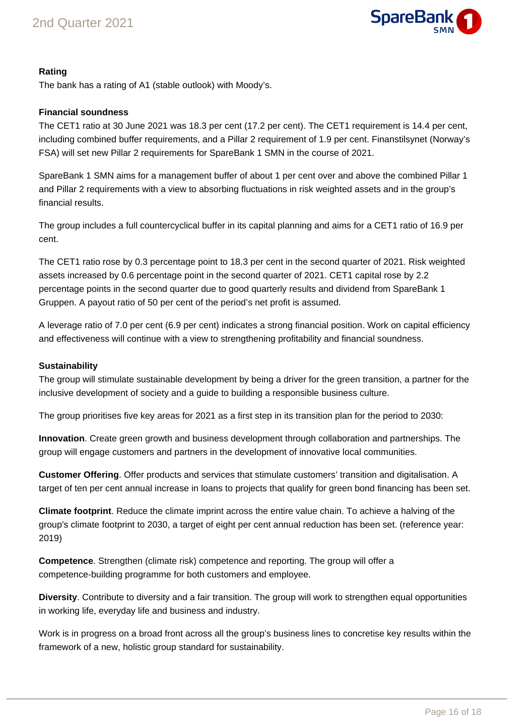

# **Rating**

The bank has a rating of A1 (stable outlook) with Moody's.

# **Financial soundness**

The CET1 ratio at 30 June 2021 was 18.3 per cent (17.2 per cent). The CET1 requirement is 14.4 per cent, including combined buffer requirements, and a Pillar 2 requirement of 1.9 per cent. Finanstilsynet (Norway's FSA) will set new Pillar 2 requirements for SpareBank 1 SMN in the course of 2021.

SpareBank 1 SMN aims for a management buffer of about 1 per cent over and above the combined Pillar 1 and Pillar 2 requirements with a view to absorbing fluctuations in risk weighted assets and in the group's financial results.

The group includes a full countercyclical buffer in its capital planning and aims for a CET1 ratio of 16.9 per cent.

The CET1 ratio rose by 0.3 percentage point to 18.3 per cent in the second quarter of 2021. Risk weighted assets increased by 0.6 percentage point in the second quarter of 2021. CET1 capital rose by 2.2 percentage points in the second quarter due to good quarterly results and dividend from SpareBank 1 Gruppen. A payout ratio of 50 per cent of the period's net profit is assumed.

A leverage ratio of 7.0 per cent (6.9 per cent) indicates a strong financial position. Work on capital efficiency and effectiveness will continue with a view to strengthening profitability and financial soundness.

#### **Sustainability**

The group will stimulate sustainable development by being a driver for the green transition, a partner for the inclusive development of society and a guide to building a responsible business culture.

The group prioritises five key areas for 2021 as a first step in its transition plan for the period to 2030:

**Innovation**. Create green growth and business development through collaboration and partnerships. The group will engage customers and partners in the development of innovative local communities.

**Customer Offering**. Offer products and services that stimulate customers' transition and digitalisation. A target of ten per cent annual increase in loans to projects that qualify for green bond financing has been set.

**Climate footprint**. Reduce the climate imprint across the entire value chain. To achieve a halving of the group's climate footprint to 2030, a target of eight per cent annual reduction has been set. (reference year: 2019)

**Competence**. Strengthen (climate risk) competence and reporting. The group will offer a competence-building programme for both customers and employee.

**Diversity**. Contribute to diversity and a fair transition. The group will work to strengthen equal opportunities in working life, everyday life and business and industry.

Work is in progress on a broad front across all the group's business lines to concretise key results within the framework of a new, holistic group standard for sustainability.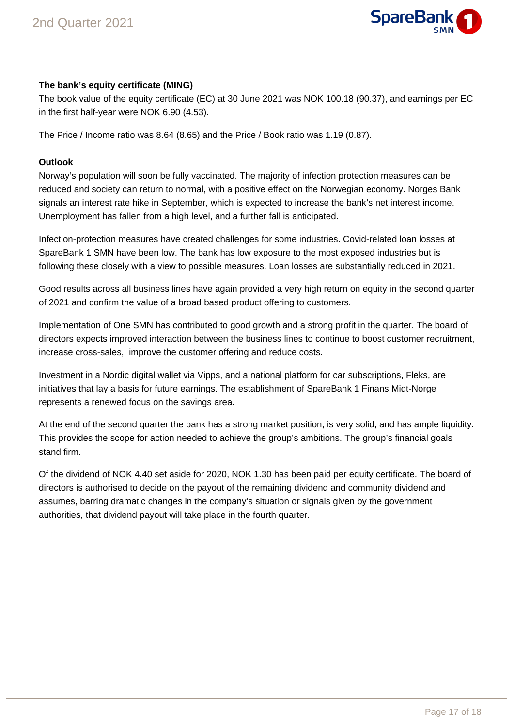

# **The bank's equity certificate (MING)**

The book value of the equity certificate (EC) at 30 June 2021 was NOK 100.18 (90.37), and earnings per EC in the first half-year were NOK 6.90 (4.53).

The Price / Income ratio was 8.64 (8.65) and the Price / Book ratio was 1.19 (0.87).

#### **Outlook**

Norway's population will soon be fully vaccinated. The majority of infection protection measures can be reduced and society can return to normal, with a positive effect on the Norwegian economy. Norges Bank signals an interest rate hike in September, which is expected to increase the bank's net interest income. Unemployment has fallen from a high level, and a further fall is anticipated.

Infection-protection measures have created challenges for some industries. Covid-related loan losses at SpareBank 1 SMN have been low. The bank has low exposure to the most exposed industries but is following these closely with a view to possible measures. Loan losses are substantially reduced in 2021.

Good results across all business lines have again provided a very high return on equity in the second quarter of 2021 and confirm the value of a broad based product offering to customers.

Implementation of One SMN has contributed to good growth and a strong profit in the quarter. The board of directors expects improved interaction between the business lines to continue to boost customer recruitment, increase cross-sales, improve the customer offering and reduce costs.

Investment in a Nordic digital wallet via Vipps, and a national platform for car subscriptions, Fleks, are initiatives that lay a basis for future earnings. The establishment of SpareBank 1 Finans Midt-Norge represents a renewed focus on the savings area.

At the end of the second quarter the bank has a strong market position, is very solid, and has ample liquidity. This provides the scope for action needed to achieve the group's ambitions. The group's financial goals stand firm.

Of the dividend of NOK 4.40 set aside for 2020, NOK 1.30 has been paid per equity certificate. The board of directors is authorised to decide on the payout of the remaining dividend and community dividend and assumes, barring dramatic changes in the company's situation or signals given by the government authorities, that dividend payout will take place in the fourth quarter.